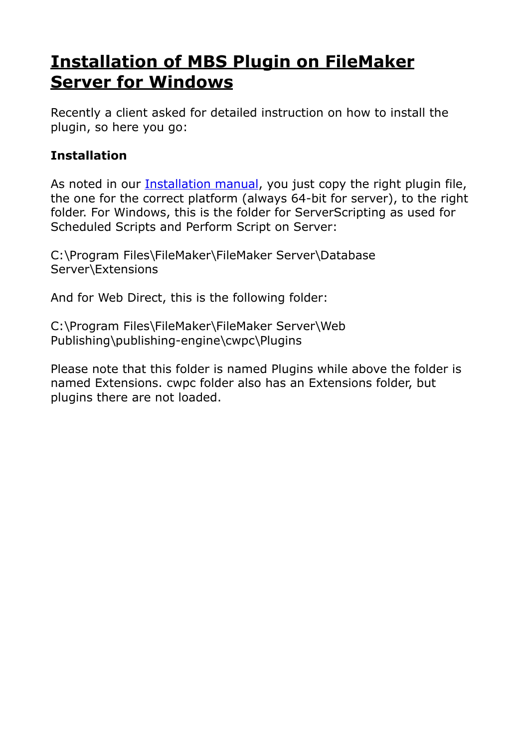# **[Installation of MBS Plugin on FileMaker](https://www.mbs-plugins.com/archive/2018-09-22/Installation_of_MBS_Plugin_on_/monkeybreadsoftware_blog_filemaker)  [Server for Windows](https://www.mbs-plugins.com/archive/2018-09-22/Installation_of_MBS_Plugin_on_/monkeybreadsoftware_blog_filemaker)**

Recently a client asked for detailed instruction on how to install the plugin, so here you go:

#### **Installation**

As noted in our **Installation manual**, you just copy the right plugin file, the one for the correct platform (always 64-bit for server), to the right folder. For Windows, this is the folder for ServerScripting as used for Scheduled Scripts and Perform Script on Server:

C:\Program Files\FileMaker\FileMaker Server\Database Server\Extensions

And for Web Direct, this is the following folder:

C:\Program Files\FileMaker\FileMaker Server\Web Publishing\publishing-engine\cwpc\Plugins

Please note that this folder is named Plugins while above the folder is named Extensions. cwpc folder also has an Extensions folder, but plugins there are not loaded.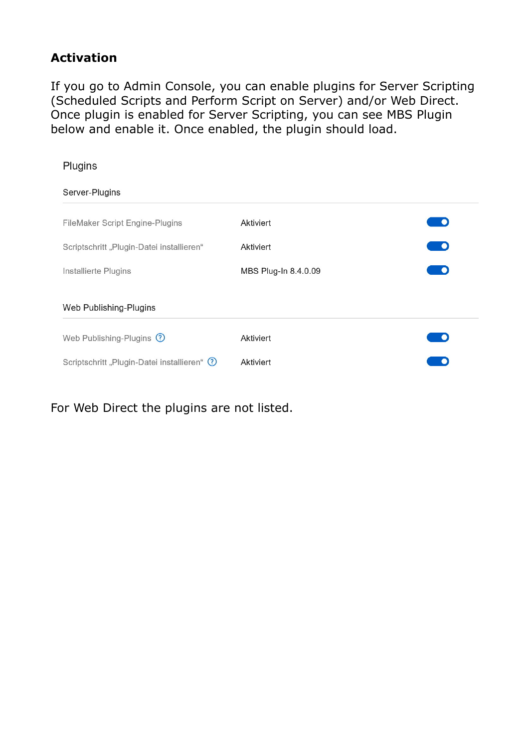#### **Activation**

If you go to Admin Console, you can enable plugins for Server Scripting (Scheduled Scripts and Perform Script on Server) and/or Web Direct. Once plugin is enabled for Server Scripting, you can see MBS Plugin below and enable it. Once enabled, the plugin should load.

| Plugins                                     |                      |          |
|---------------------------------------------|----------------------|----------|
| Server-Plugins                              |                      |          |
| FileMaker Script Engine-Plugins             | Aktiviert            |          |
| Scriptschritt "Plugin-Datei installieren"   | Aktiviert            | <b>D</b> |
| Installierte Plugins                        | MBS Plug-In 8.4.0.09 | - 0      |
| Web Publishing-Plugins                      |                      |          |
| Web Publishing-Plugins 2                    | Aktiviert            |          |
| Scriptschritt "Plugin-Datei installieren" ? | Aktiviert            |          |
|                                             |                      |          |

For Web Direct the plugins are not listed.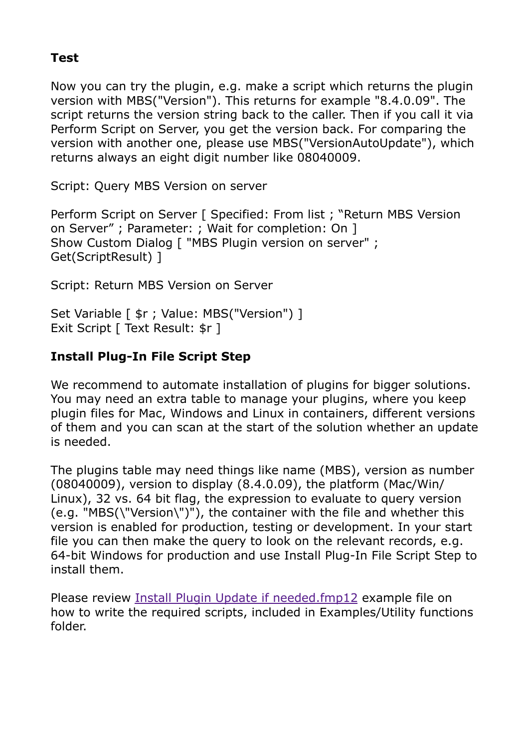#### **Test**

Now you can try the plugin, e.g. make a script which returns the plugin version with MBS("Version"). This returns for example "8.4.0.09". The script returns the version string back to the caller. Then if you call it via Perform Script on Server, you get the version back. For comparing the version with another one, please use MBS("VersionAutoUpdate"), which returns always an eight digit number like 08040009.

Script: Query MBS Version on server

Perform Script on Server [ Specified: From list ; "Return MBS Version on Server" ; Parameter: ; Wait for completion: On ] Show Custom Dialog [ "MBS Plugin version on server" ; Get(ScriptResult) ]

Script: Return MBS Version on Server

Set Variable [  $\frac{1}{2}$ r ; Value: MBS("Version") ] Exit Script [ Text Result: \$r ]

### **Install Plug-In File Script Step**

We recommend to automate installation of plugins for bigger solutions. You may need an extra table to manage your plugins, where you keep plugin files for Mac, Windows and Linux in containers, different versions of them and you can scan at the start of the solution whether an update is needed.

The plugins table may need things like name (MBS), version as number (08040009), version to display (8.4.0.09), the platform (Mac/Win/ Linux), 32 vs. 64 bit flag, the expression to evaluate to query version (e.g. "MBS(\"Version\")"), the container with the file and whether this version is enabled for production, testing or development. In your start file you can then make the query to look on the relevant records, e.g. 64-bit Windows for production and use Install Plug-In File Script Step to install them.

Please review [Install Plugin Update if needed.fmp12](https://www.monkeybread.eu/MBS-FileMaker-Plugin-Examples/Utility%20functions/Install%20Plugin%20Update%20if%20needed.shtml) example file on how to write the required scripts, included in Examples/Utility functions folder.